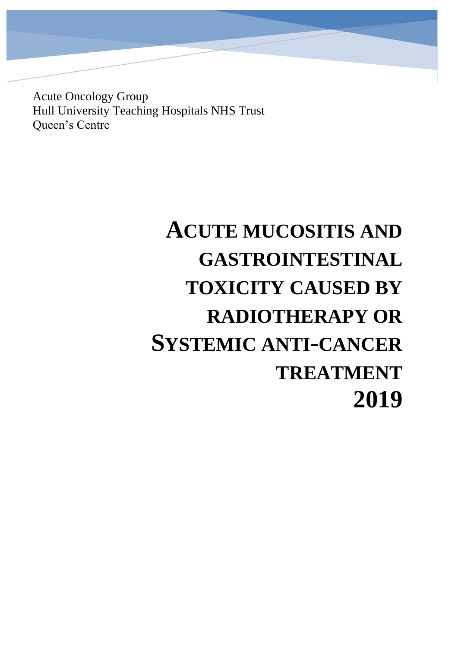Acute Oncology Group Hull University Teaching Hospitals NHS Trust Queen's Centre

# **ACUTE MUCOSITIS AND GASTROINTESTINAL TOXICITY CAUSED BY RADIOTHERAPY OR SYSTEMIC ANTI-CANCER TREATMENT 2019**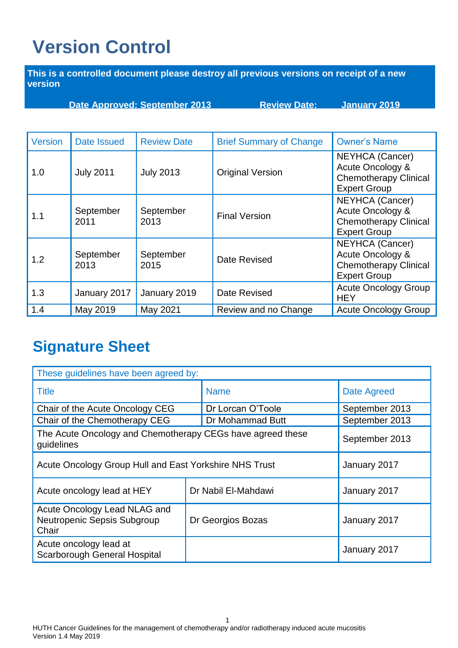# <span id="page-1-0"></span>**Version Control**

**This is a controlled document please destroy all previous versions on receipt of a new version** 

**Date Approved: September 2013 Review Date: January 2019**

| <b>Version</b> | Date Issued       | <b>Review Date</b> | <b>Brief Summary of Change</b> | <b>Owner's Name</b>                                                                               |
|----------------|-------------------|--------------------|--------------------------------|---------------------------------------------------------------------------------------------------|
| 1.0            | <b>July 2011</b>  | <b>July 2013</b>   | <b>Original Version</b>        | NEYHCA (Cancer)<br>Acute Oncology &<br><b>Chemotherapy Clinical</b><br><b>Expert Group</b>        |
| 1.1            | September<br>2011 | September<br>2013  | <b>Final Version</b>           | NEYHCA (Cancer)<br>Acute Oncology &<br><b>Chemotherapy Clinical</b><br><b>Expert Group</b>        |
| 1.2            | September<br>2013 | September<br>2015  | Date Revised                   | <b>NEYHCA</b> (Cancer)<br>Acute Oncology &<br><b>Chemotherapy Clinical</b><br><b>Expert Group</b> |
| 1.3            | January 2017      | January 2019       | Date Revised                   | <b>Acute Oncology Group</b><br><b>HEY</b>                                                         |
| 1.4            | May 2019          | May 2021           | Review and no Change           | <b>Acute Oncology Group</b>                                                                       |

## **Signature Sheet**

| These guidelines have been agreed by:                                                      |  |                     |                    |  |  |
|--------------------------------------------------------------------------------------------|--|---------------------|--------------------|--|--|
| <b>Title</b>                                                                               |  | <b>Name</b>         | <b>Date Agreed</b> |  |  |
| Chair of the Acute Oncology CEG                                                            |  | Dr Lorcan O'Toole   | September 2013     |  |  |
| Chair of the Chemotherapy CEG                                                              |  | Dr Mohammad Butt    | September 2013     |  |  |
| The Acute Oncology and Chemotherapy CEGs have agreed these<br>September 2013<br>guidelines |  |                     |                    |  |  |
| Acute Oncology Group Hull and East Yorkshire NHS Trust                                     |  |                     | January 2017       |  |  |
| Acute oncology lead at HEY                                                                 |  | Dr Nabil El-Mahdawi | January 2017       |  |  |
| Acute Oncology Lead NLAG and<br>Neutropenic Sepsis Subgroup<br>Chair                       |  | Dr Georgios Bozas   | January 2017       |  |  |
| Acute oncology lead at<br><b>Scarborough General Hospital</b>                              |  |                     | January 2017       |  |  |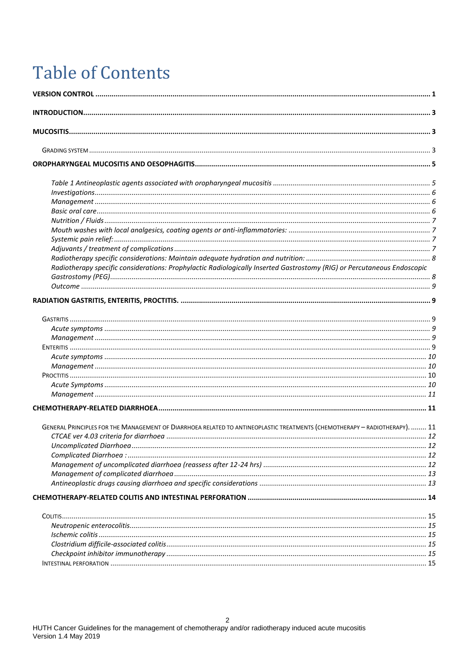# **Table of Contents**

| Radiotherapy specific considerations: Prophylactic Radiologically Inserted Gastrostomy (RIG) or Percutaneous Endoscopic    |  |
|----------------------------------------------------------------------------------------------------------------------------|--|
|                                                                                                                            |  |
|                                                                                                                            |  |
|                                                                                                                            |  |
|                                                                                                                            |  |
|                                                                                                                            |  |
|                                                                                                                            |  |
|                                                                                                                            |  |
|                                                                                                                            |  |
|                                                                                                                            |  |
|                                                                                                                            |  |
|                                                                                                                            |  |
|                                                                                                                            |  |
|                                                                                                                            |  |
| GENERAL PRINCIPLES FOR THE MANAGEMENT OF DIARRHOEA RELATED TO ANTINEOPLASTIC TREATMENTS (CHEMOTHERAPY - RADIOTHERAPY).  11 |  |
|                                                                                                                            |  |
|                                                                                                                            |  |
|                                                                                                                            |  |
|                                                                                                                            |  |
|                                                                                                                            |  |
|                                                                                                                            |  |
|                                                                                                                            |  |
|                                                                                                                            |  |
|                                                                                                                            |  |
|                                                                                                                            |  |
|                                                                                                                            |  |
|                                                                                                                            |  |
|                                                                                                                            |  |
|                                                                                                                            |  |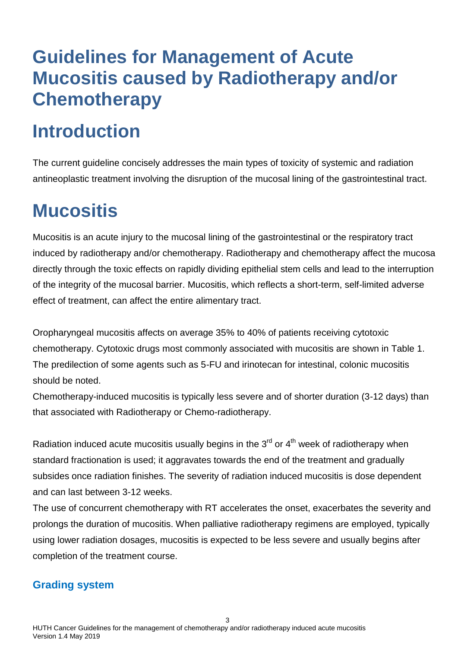# **Guidelines for Management of Acute Mucositis caused by Radiotherapy and/or Chemotherapy**

# <span id="page-3-0"></span>**Introduction**

The current guideline concisely addresses the main types of toxicity of systemic and radiation antineoplastic treatment involving the disruption of the mucosal lining of the gastrointestinal tract.

## <span id="page-3-1"></span>**Mucositis**

Mucositis is an acute injury to the mucosal lining of the gastrointestinal or the respiratory tract induced by radiotherapy and/or chemotherapy. Radiotherapy and chemotherapy affect the mucosa directly through the toxic effects on rapidly dividing epithelial stem cells and lead to the interruption of the integrity of the mucosal barrier. Mucositis, which reflects a short-term, self-limited adverse effect of treatment, can affect the entire alimentary tract.

Oropharyngeal mucositis affects on average 35% to 40% of patients receiving cytotoxic chemotherapy. Cytotoxic drugs most commonly associated with mucositis are shown in Table 1. The predilection of some agents such as 5-FU and irinotecan for intestinal, colonic mucositis should be noted.

Chemotherapy-induced mucositis is typically less severe and of shorter duration (3-12 days) than that associated with Radiotherapy or Chemo-radiotherapy.

Radiation induced acute mucositis usually begins in the  $3<sup>rd</sup>$  or  $4<sup>th</sup>$  week of radiotherapy when standard fractionation is used; it aggravates towards the end of the treatment and gradually subsides once radiation finishes. The severity of radiation induced mucositis is dose dependent and can last between 3-12 weeks.

The use of concurrent chemotherapy with RT accelerates the onset, exacerbates the severity and prolongs the duration of mucositis. When palliative radiotherapy regimens are employed, typically using lower radiation dosages, mucositis is expected to be less severe and usually begins after completion of the treatment course.

### <span id="page-3-2"></span>**Grading system**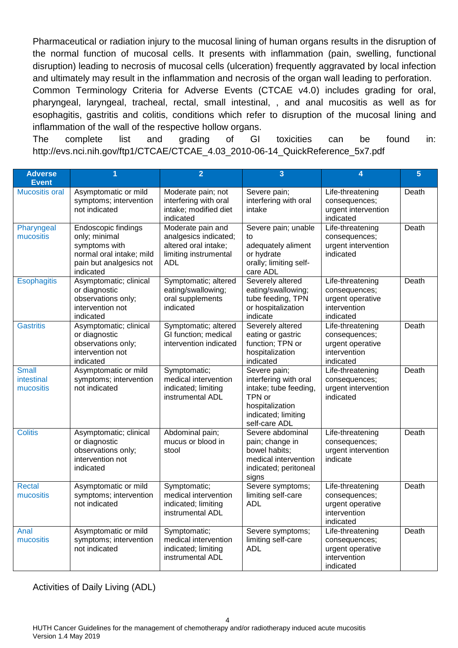Pharmaceutical or radiation injury to the mucosal lining of human organs results in the disruption of the normal function of mucosal cells. It presents with inflammation (pain, swelling, functional disruption) leading to necrosis of mucosal cells (ulceration) frequently aggravated by local infection and ultimately may result in the inflammation and necrosis of the organ wall leading to perforation.

Common Terminology Criteria for Adverse Events (CTCAE v4.0) includes grading for oral, pharyngeal, laryngeal, tracheal, rectal, small intestinal, , and anal mucositis as well as for esophagitis, gastritis and colitis, conditions which refer to disruption of the mucosal lining and inflammation of the wall of the respective hollow organs.

The complete list and grading of GI toxicities can be found in: http://evs.nci.nih.gov/ftp1/CTCAE/CTCAE\_4.03\_2010-06-14\_QuickReference\_5x7.pdf

| <b>Adverse</b>                          | 1                                                                                                                         | $\overline{2}$                                                                                     | $\overline{3}$                                                                                                                      | 4                                                                                  | $5\phantom{1}$ |
|-----------------------------------------|---------------------------------------------------------------------------------------------------------------------------|----------------------------------------------------------------------------------------------------|-------------------------------------------------------------------------------------------------------------------------------------|------------------------------------------------------------------------------------|----------------|
| <b>Event</b><br><b>Mucositis oral</b>   |                                                                                                                           |                                                                                                    |                                                                                                                                     |                                                                                    |                |
|                                         | Asymptomatic or mild<br>symptoms; intervention<br>not indicated                                                           | Moderate pain; not<br>interfering with oral<br>intake; modified diet<br>indicated                  | Severe pain;<br>interfering with oral<br>intake                                                                                     | Life-threatening<br>consequences;<br>urgent intervention<br>indicated              | Death          |
| Pharyngeal<br>mucositis                 | Endoscopic findings<br>only; minimal<br>symptoms with<br>normal oral intake; mild<br>pain but analgesics not<br>indicated | Moderate pain and<br>analgesics indicated;<br>altered oral intake;<br>limiting instrumental<br>ADL | Severe pain; unable<br>to<br>adequately aliment<br>or hydrate<br>orally; limiting self-<br>care ADL                                 | Life-threatening<br>consequences;<br>urgent intervention<br>indicated              | Death          |
| <b>Esophagitis</b>                      | Asymptomatic; clinical<br>or diagnostic<br>observations only;<br>intervention not<br>indicated                            | Symptomatic; altered<br>eating/swallowing;<br>oral supplements<br>indicated                        | Severely altered<br>eating/swallowing;<br>tube feeding, TPN<br>or hospitalization<br>indicate                                       | Life-threatening<br>consequences;<br>urgent operative<br>intervention<br>indicated | Death          |
| <b>Gastritis</b>                        | Asymptomatic; clinical<br>or diagnostic<br>observations only;<br>intervention not<br>indicated                            | Symptomatic; altered<br>GI function; medical<br>intervention indicated                             | Severely altered<br>eating or gastric<br>function; TPN or<br>hospitalization<br>indicated                                           | Life-threatening<br>consequences;<br>urgent operative<br>intervention<br>indicated | Death          |
| <b>Small</b><br>intestinal<br>mucositis | Asymptomatic or mild<br>symptoms; intervention<br>not indicated                                                           | Symptomatic;<br>medical intervention<br>indicated; limiting<br>instrumental ADL                    | Severe pain;<br>interfering with oral<br>intake; tube feeding,<br>TPN or<br>hospitalization<br>indicated; limiting<br>self-care ADL | Life-threatening<br>consequences;<br>urgent intervention<br>indicated              | Death          |
| <b>Colitis</b>                          | Asymptomatic; clinical<br>or diagnostic<br>observations only;<br>intervention not<br>indicated                            | Abdominal pain;<br>mucus or blood in<br>stool                                                      | Severe abdominal<br>pain; change in<br>bowel habits;<br>medical intervention<br>indicated; peritoneal<br>signs                      | Life-threatening<br>consequences;<br>urgent intervention<br>indicate               | Death          |
| <b>Rectal</b><br>mucositis              | Asymptomatic or mild<br>symptoms; intervention<br>not indicated                                                           | Symptomatic;<br>medical intervention<br>indicated; limiting<br>instrumental ADL                    | Severe symptoms;<br>limiting self-care<br><b>ADL</b>                                                                                | Life-threatening<br>consequences;<br>urgent operative<br>intervention<br>indicated | Death          |
| Anal<br>mucositis                       | Asymptomatic or mild<br>symptoms; intervention<br>not indicated                                                           | Symptomatic;<br>medical intervention<br>indicated; limiting<br>instrumental ADL                    | Severe symptoms;<br>limiting self-care<br><b>ADL</b>                                                                                | Life-threatening<br>consequences;<br>urgent operative<br>intervention<br>indicated | Death          |

Activities of Daily Living (ADL)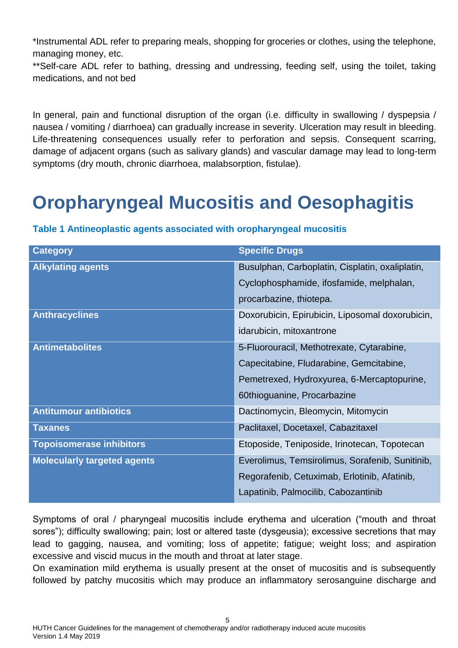\*Instrumental ADL refer to preparing meals, shopping for groceries or clothes, using the telephone, managing money, etc.

\*\*Self-care ADL refer to bathing, dressing and undressing, feeding self, using the toilet, taking medications, and not bed

In general, pain and functional disruption of the organ (i.e. difficulty in swallowing / dyspepsia / nausea / vomiting / diarrhoea) can gradually increase in severity. Ulceration may result in bleeding. Life-threatening consequences usually refer to perforation and sepsis. Consequent scarring, damage of adjacent organs (such as salivary glands) and vascular damage may lead to long-term symptoms (dry mouth, chronic diarrhoea, malabsorption, fistulae).

# <span id="page-5-0"></span>**Oropharyngeal Mucositis and Oesophagitis**

| <b>Category</b>                    | <b>Specific Drugs</b>                           |
|------------------------------------|-------------------------------------------------|
| <b>Alkylating agents</b>           | Busulphan, Carboplatin, Cisplatin, oxaliplatin, |
|                                    | Cyclophosphamide, ifosfamide, melphalan,        |
|                                    | procarbazine, thiotepa.                         |
| <b>Anthracyclines</b>              | Doxorubicin, Epirubicin, Liposomal doxorubicin, |
|                                    | idarubicin, mitoxantrone                        |
| <b>Antimetabolites</b>             | 5-Fluorouracil, Methotrexate, Cytarabine,       |
|                                    | Capecitabine, Fludarabine, Gemcitabine,         |
|                                    | Pemetrexed, Hydroxyurea, 6-Mercaptopurine,      |
|                                    | 60thioguanine, Procarbazine                     |
| <b>Antitumour antibiotics</b>      | Dactinomycin, Bleomycin, Mitomycin              |
| <b>Taxanes</b>                     | Paclitaxel, Docetaxel, Cabazitaxel              |
| <b>Topoisomerase inhibitors</b>    | Etoposide, Teniposide, Irinotecan, Topotecan    |
| <b>Molecularly targeted agents</b> | Everolimus, Temsirolimus, Sorafenib, Sunitinib, |
|                                    | Regorafenib, Cetuximab, Erlotinib, Afatinib,    |
|                                    | Lapatinib, Palmocilib, Cabozantinib             |

<span id="page-5-1"></span>**Table 1 Antineoplastic agents associated with oropharyngeal mucositis**

Symptoms of oral / pharyngeal mucositis include erythema and ulceration ("mouth and throat sores"); difficulty swallowing; pain; lost or altered taste (dysgeusia); excessive secretions that may lead to gagging, nausea, and vomiting; loss of appetite; fatigue; weight loss; and aspiration excessive and viscid mucus in the mouth and throat at later stage.

On examination mild erythema is usually present at the onset of mucositis and is subsequently followed by patchy mucositis which may produce an inflammatory serosanguine discharge and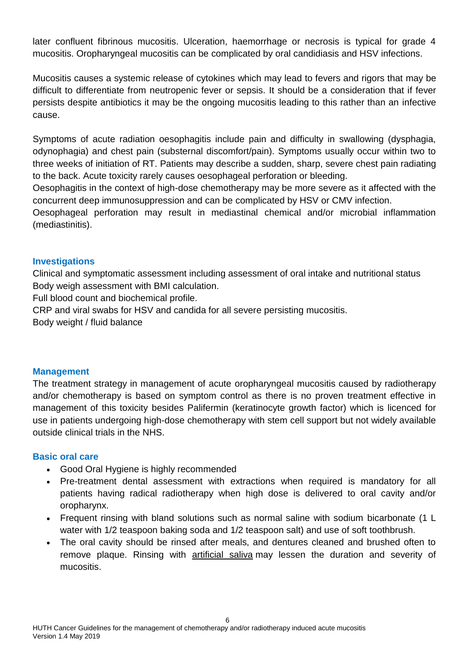later confluent fibrinous mucositis. Ulceration, haemorrhage or necrosis is typical for grade 4 mucositis. Oropharyngeal mucositis can be complicated by oral candidiasis and HSV infections.

Mucositis causes a systemic release of cytokines which may lead to fevers and rigors that may be difficult to differentiate from neutropenic fever or sepsis. It should be a consideration that if fever persists despite antibiotics it may be the ongoing mucositis leading to this rather than an infective cause.

Symptoms of acute radiation oesophagitis include pain and difficulty in swallowing (dysphagia, odynophagia) and chest pain (substernal discomfort/pain). Symptoms usually occur within two to three weeks of initiation of RT. Patients may describe a sudden, sharp, severe chest pain radiating to the back. Acute toxicity rarely causes oesophageal perforation or bleeding.

Oesophagitis in the context of high-dose chemotherapy may be more severe as it affected with the concurrent deep immunosuppression and can be complicated by HSV or CMV infection.

Oesophageal perforation may result in mediastinal chemical and/or microbial inflammation (mediastinitis).

#### <span id="page-6-0"></span>**Investigations**

Clinical and symptomatic assessment including assessment of oral intake and nutritional status Body weigh assessment with BMI calculation.

Full blood count and biochemical profile.

CRP and viral swabs for HSV and candida for all severe persisting mucositis.

Body weight / fluid balance

#### <span id="page-6-1"></span>**Management**

The treatment strategy in management of acute oropharyngeal mucositis caused by radiotherapy and/or chemotherapy is based on symptom control as there is no proven treatment effective in management of this toxicity besides Palifermin (keratinocyte growth factor) which is licenced for use in patients undergoing high-dose chemotherapy with stem cell support but not widely available outside clinical trials in the NHS.

#### <span id="page-6-2"></span>**Basic oral care**

- Good Oral Hygiene is highly recommended
- Pre-treatment dental assessment with extractions when required is mandatory for all patients having radical radiotherapy when high dose is delivered to oral cavity and/or oropharynx.
- Frequent rinsing with bland solutions such as normal saline with sodium bicarbonate (1 L water with 1/2 teaspoon baking soda and 1/2 teaspoon salt) and use of soft toothbrush.
- The oral cavity should be rinsed after meals, and dentures cleaned and brushed often to remove plaque. Rinsing with [artificial saliva](http://www.uptodate.com/contents/artificial-saliva-drug-information?source=see_link) may lessen the duration and severity of mucositis.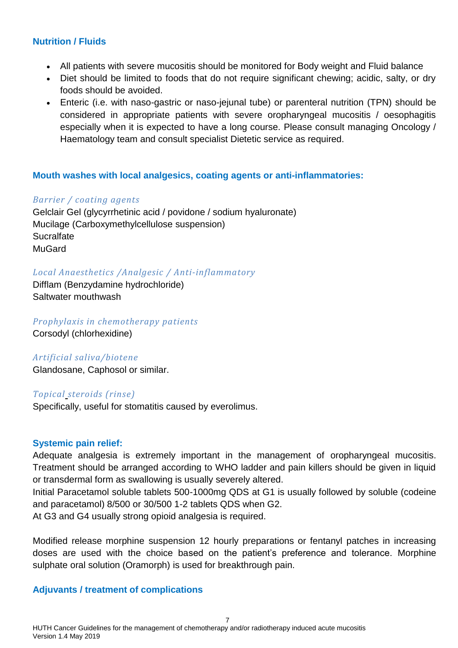#### <span id="page-7-0"></span>**Nutrition / Fluids**

- All patients with severe mucositis should be monitored for Body weight and Fluid balance
- Diet should be limited to foods that do not require significant chewing; acidic, salty, or dry foods should be avoided.
- Enteric (i.e. with naso-gastric or naso-jejunal tube) or parenteral nutrition (TPN) should be considered in appropriate patients with severe oropharyngeal mucositis / oesophagitis especially when it is expected to have a long course. Please consult managing Oncology / Haematology team and consult specialist Dietetic service as required.

#### <span id="page-7-1"></span>**Mouth washes with local analgesics, coating agents or anti-inflammatories:**

#### *Barrier / coating agents*

Gelclair Gel (glycyrrhetinic acid / povidone / sodium hyaluronate) Mucilage (Carboxymethylcellulose suspension) **Sucralfate MuGard** 

#### *Local Anaesthetics /Analgesic / Anti-inflammatory*

Difflam (Benzydamine hydrochloride) Saltwater mouthwash

*Prophylaxis in chemotherapy patients*

Corsodyl (chlorhexidine)

#### *Artificial saliva/biotene*

Glandosane, Caphosol or similar.

#### *Topical steroids (rinse)*

Specifically, useful for stomatitis caused by everolimus.

#### <span id="page-7-2"></span>**Systemic pain relief:**

Adequate analgesia is extremely important in the management of oropharyngeal mucositis. Treatment should be arranged according to WHO ladder and pain killers should be given in liquid or transdermal form as swallowing is usually severely altered.

Initial Paracetamol soluble tablets 500-1000mg QDS at G1 is usually followed by soluble (codeine and paracetamol) 8/500 or 30/500 1-2 tablets QDS when G2.

At G3 and G4 usually strong opioid analgesia is required.

Modified release morphine suspension 12 hourly preparations or fentanyl patches in increasing doses are used with the choice based on the patient's preference and tolerance. Morphine sulphate oral solution (Oramorph) is used for breakthrough pain.

#### <span id="page-7-3"></span>**Adjuvants / treatment of complications**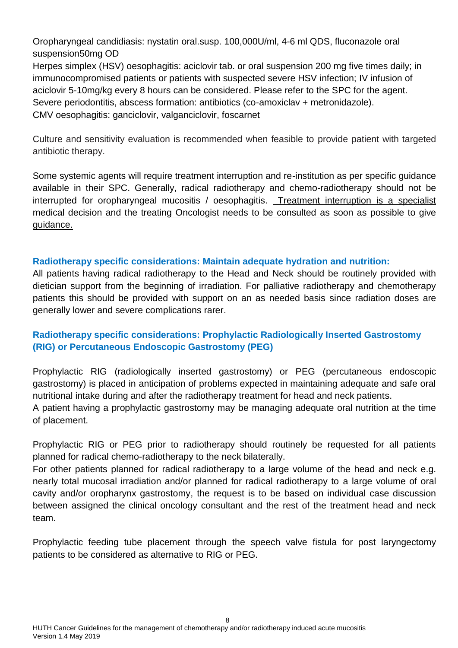Oropharyngeal candidiasis: nystatin oral.susp. 100,000U/ml, 4-6 ml QDS, fluconazole oral suspension50mg OD

Herpes simplex (HSV) oesophagitis: aciclovir tab. or oral suspension 200 mg five times daily; in immunocompromised patients or patients with suspected severe HSV infection; IV infusion of aciclovir 5-10mg/kg every 8 hours can be considered. Please refer to the SPC for the agent. Severe periodontitis, abscess formation: antibiotics (co-amoxiclav + metronidazole). CMV oesophagitis: ganciclovir, valganciclovir, foscarnet

Culture and sensitivity evaluation is recommended when feasible to provide patient with targeted antibiotic therapy.

Some systemic agents will require treatment interruption and re-institution as per specific guidance available in their SPC. Generally, radical radiotherapy and chemo-radiotherapy should not be interrupted for oropharyngeal mucositis / oesophagitis. Treatment interruption is a specialist medical decision and the treating Oncologist needs to be consulted as soon as possible to give guidance.

#### <span id="page-8-0"></span>**Radiotherapy specific considerations: Maintain adequate hydration and nutrition:**

All patients having radical radiotherapy to the Head and Neck should be routinely provided with dietician support from the beginning of irradiation. For palliative radiotherapy and chemotherapy patients this should be provided with support on an as needed basis since radiation doses are generally lower and severe complications rarer.

### <span id="page-8-1"></span>**Radiotherapy specific considerations: Prophylactic Radiologically Inserted Gastrostomy (RIG) or Percutaneous Endoscopic Gastrostomy (PEG)**

Prophylactic RIG (radiologically inserted gastrostomy) or PEG (percutaneous endoscopic gastrostomy) is placed in anticipation of problems expected in maintaining adequate and safe oral nutritional intake during and after the radiotherapy treatment for head and neck patients.

A patient having a prophylactic gastrostomy may be managing adequate oral nutrition at the time of placement.

Prophylactic RIG or PEG prior to radiotherapy should routinely be requested for all patients planned for radical chemo-radiotherapy to the neck bilaterally.

For other patients planned for radical radiotherapy to a large volume of the head and neck e.g. nearly total mucosal irradiation and/or planned for radical radiotherapy to a large volume of oral cavity and/or oropharynx gastrostomy, the request is to be based on individual case discussion between assigned the clinical oncology consultant and the rest of the treatment head and neck team.

Prophylactic feeding tube placement through the speech valve fistula for post laryngectomy patients to be considered as alternative to RIG or PEG.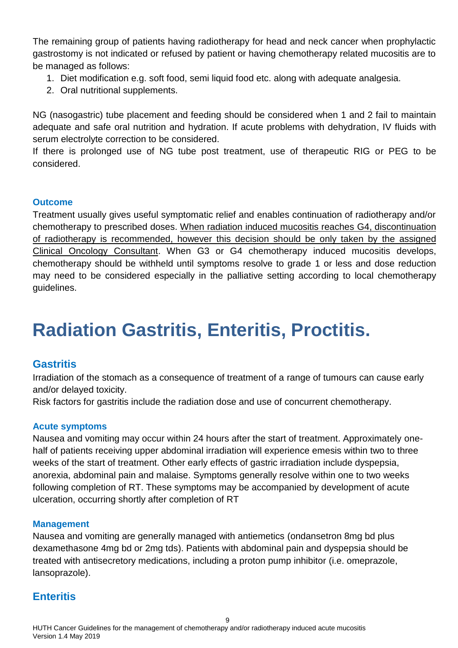The remaining group of patients having radiotherapy for head and neck cancer when prophylactic gastrostomy is not indicated or refused by patient or having chemotherapy related mucositis are to be managed as follows:

- 1. Diet modification e.g. soft food, semi liquid food etc. along with adequate analgesia.
- 2. Oral nutritional supplements.

NG (nasogastric) tube placement and feeding should be considered when 1 and 2 fail to maintain adequate and safe oral nutrition and hydration. If acute problems with dehydration, IV fluids with serum electrolyte correction to be considered.

If there is prolonged use of NG tube post treatment, use of therapeutic RIG or PEG to be considered.

#### <span id="page-9-0"></span>**Outcome**

Treatment usually gives useful symptomatic relief and enables continuation of radiotherapy and/or chemotherapy to prescribed doses. When radiation induced mucositis reaches G4, discontinuation of radiotherapy is recommended, however this decision should be only taken by the assigned Clinical Oncology Consultant. When G3 or G4 chemotherapy induced mucositis develops, chemotherapy should be withheld until symptoms resolve to grade 1 or less and dose reduction may need to be considered especially in the palliative setting according to local chemotherapy guidelines.

# <span id="page-9-1"></span>**Radiation Gastritis, Enteritis, Proctitis.**

### <span id="page-9-2"></span>**Gastritis**

Irradiation of the stomach as a consequence of treatment of a range of tumours can cause early and/or delayed toxicity.

Risk factors for gastritis include the radiation dose and use of concurrent chemotherapy.

#### <span id="page-9-3"></span>**Acute symptoms**

Nausea and vomiting may occur within 24 hours after the start of treatment. Approximately onehalf of patients receiving upper abdominal irradiation will experience emesis within two to three weeks of the start of treatment. Other early effects of gastric irradiation include dyspepsia, anorexia, abdominal pain and malaise. Symptoms generally resolve within one to two weeks following completion of RT. These symptoms may be accompanied by development of acute ulceration, occurring shortly after completion of RT

#### <span id="page-9-4"></span>**Management**

Nausea and vomiting are generally managed with antiemetics (ondansetron 8mg bd plus dexamethasone 4mg bd or 2mg tds). Patients with abdominal pain and dyspepsia should be treated with antisecretory medications, including a proton pump inhibitor (i.e. omeprazole, lansoprazole).

### <span id="page-9-5"></span>**Enteritis**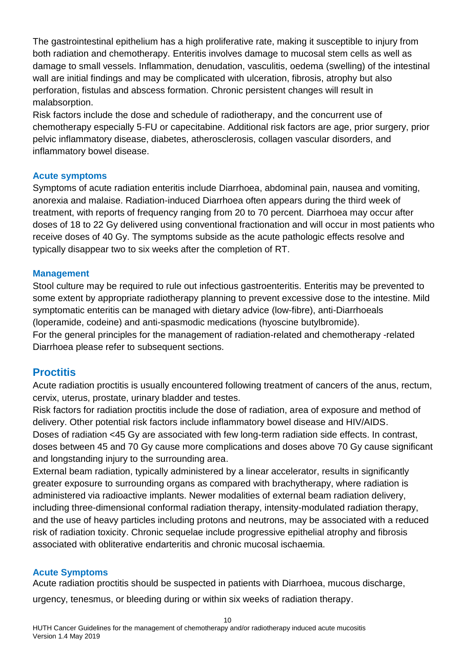The gastrointestinal epithelium has a high proliferative rate, making it susceptible to injury from both radiation and chemotherapy. Enteritis involves damage to mucosal stem cells as well as damage to small vessels. Inflammation, denudation, vasculitis, oedema (swelling) of the intestinal wall are initial findings and may be complicated with ulceration, fibrosis, atrophy but also perforation, fistulas and abscess formation. Chronic persistent changes will result in malabsorption.

Risk factors include the dose and schedule of radiotherapy, and the concurrent use of chemotherapy especially 5-FU or capecitabine. Additional risk factors are age, prior surgery, prior pelvic inflammatory disease, diabetes, atherosclerosis, collagen vascular disorders, and inflammatory bowel disease.

#### <span id="page-10-0"></span>**Acute symptoms**

Symptoms of acute radiation enteritis include Diarrhoea, abdominal pain, nausea and vomiting, anorexia and malaise. Radiation-induced Diarrhoea often appears during the third week of treatment, with reports of frequency ranging from 20 to 70 percent. Diarrhoea may occur after doses of 18 to 22 Gy delivered using conventional fractionation and will occur in most patients who receive doses of 40 Gy. The symptoms subside as the acute pathologic effects resolve and typically disappear two to six weeks after the completion of RT.

#### <span id="page-10-1"></span>**Management**

Stool culture may be required to rule out infectious gastroenteritis. Enteritis may be prevented to some extent by appropriate radiotherapy planning to prevent excessive dose to the intestine. Mild symptomatic enteritis can be managed with dietary advice (low-fibre), anti-Diarrhoeals (loperamide, codeine) and anti-spasmodic medications (hyoscine butylbromide). For the general principles for the management of radiation-related and chemotherapy -related Diarrhoea please refer to subsequent sections.

### <span id="page-10-2"></span>**Proctitis**

Acute radiation proctitis is usually encountered following treatment of cancers of the anus, rectum, cervix, uterus, prostate, urinary bladder and testes.

Risk factors for radiation proctitis include the dose of radiation, area of exposure and method of delivery. Other potential risk factors include inflammatory bowel disease and HIV/AIDS. Doses of radiation <45 Gy are associated with few long-term radiation side effects. In contrast, doses between 45 and 70 Gy cause more complications and doses above 70 Gy cause significant and longstanding injury to the surrounding area.

External beam radiation, typically administered by a linear accelerator, results in significantly greater exposure to surrounding organs as compared with brachytherapy, where radiation is administered via radioactive implants. Newer modalities of external beam radiation delivery, including three-dimensional conformal radiation therapy, intensity-modulated radiation therapy, and the use of heavy particles including protons and neutrons, may be associated with a reduced risk of radiation toxicity. Chronic sequelae include progressive epithelial atrophy and fibrosis associated with obliterative endarteritis and chronic mucosal ischaemia.

#### <span id="page-10-3"></span>**Acute Symptoms**

Acute radiation proctitis should be suspected in patients with Diarrhoea, mucous discharge,

urgency, tenesmus, or bleeding during or within six weeks of radiation therapy.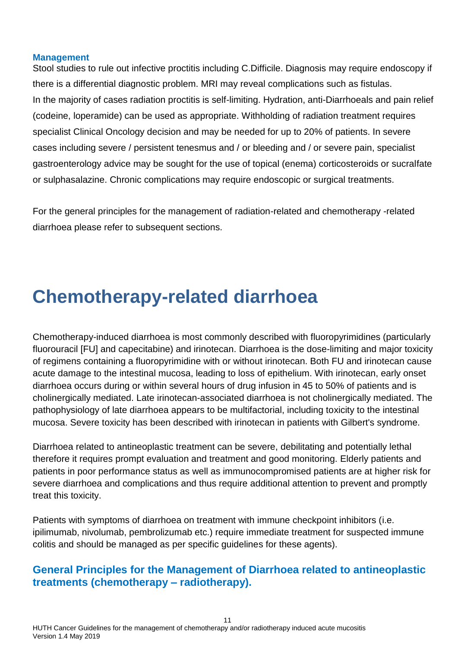#### <span id="page-11-0"></span>**Management**

Stool studies to rule out infective proctitis including C.Difficile. Diagnosis may require endoscopy if there is a differential diagnostic problem. MRI may reveal complications such as fistulas. In the majority of cases radiation proctitis is self-limiting. Hydration, anti-Diarrhoeals and pain relief (codeine, loperamide) can be used as appropriate. Withholding of radiation treatment requires specialist Clinical Oncology decision and may be needed for up to 20% of patients. In severe cases including severe / persistent tenesmus and / or bleeding and / or severe pain, specialist gastroenterology advice may be sought for the use of topical (enema) corticosteroids or sucralfate or sulphasalazine. Chronic complications may require endoscopic or surgical treatments.

For the general principles for the management of radiation-related and chemotherapy -related diarrhoea please refer to subsequent sections.

# <span id="page-11-1"></span>**Chemotherapy-related diarrhoea**

Chemotherapy-induced diarrhoea is most commonly described with fluoropyrimidines (particularly fluorouracil [FU] and capecitabine) and irinotecan. Diarrhoea is the dose-limiting and major toxicity of regimens containing a fluoropyrimidine with or without irinotecan. Both FU and irinotecan cause acute damage to the intestinal mucosa, leading to loss of epithelium. With irinotecan, early onset diarrhoea occurs during or within several hours of drug infusion in 45 to 50% of patients and is cholinergically mediated. Late irinotecan-associated diarrhoea is not cholinergically mediated. The pathophysiology of late diarrhoea appears to be multifactorial, including toxicity to the intestinal mucosa. Severe toxicity has been described with irinotecan in patients with Gilbert's syndrome.

Diarrhoea related to antineoplastic treatment can be severe, debilitating and potentially lethal therefore it requires prompt evaluation and treatment and good monitoring. Elderly patients and patients in poor performance status as well as immunocompromised patients are at higher risk for severe diarrhoea and complications and thus require additional attention to prevent and promptly treat this toxicity.

Patients with symptoms of diarrhoea on treatment with immune checkpoint inhibitors (i.e. ipilimumab, nivolumab, pembrolizumab etc.) require immediate treatment for suspected immune colitis and should be managed as per specific guidelines for these agents).

### <span id="page-11-2"></span>**General Principles for the Management of Diarrhoea related to antineoplastic treatments (chemotherapy – radiotherapy).**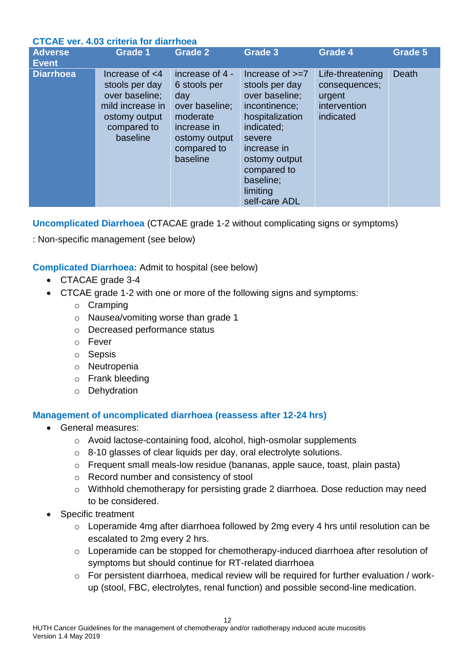#### <span id="page-12-0"></span>**CTCAE ver. 4.03 criteria for diarrhoea**

| <b>Adverse</b><br><b>Event</b> | <b>Grade 1</b>                                                                                                        | <b>Grade 2</b>                                                                                                                  | <b>Grade 3</b>                                                                                                                                                                                             | <b>Grade 4</b>                                                           | <b>Grade 5</b> |  |  |
|--------------------------------|-----------------------------------------------------------------------------------------------------------------------|---------------------------------------------------------------------------------------------------------------------------------|------------------------------------------------------------------------------------------------------------------------------------------------------------------------------------------------------------|--------------------------------------------------------------------------|----------------|--|--|
| <b>Diarrhoea</b>               | Increase of $<$ 4<br>stools per day<br>over baseline;<br>mild increase in<br>ostomy output<br>compared to<br>baseline | increase of 4 -<br>6 stools per<br>day<br>over baseline;<br>moderate<br>increase in<br>ostomy output<br>compared to<br>baseline | Increase of $>=7$<br>stools per day<br>over baseline;<br>incontinence;<br>hospitalization<br>indicated;<br>severe<br>increase in<br>ostomy output<br>compared to<br>baseline;<br>limiting<br>self-care ADL | Life-threatening<br>consequences;<br>urgent<br>intervention<br>indicated | Death          |  |  |

<span id="page-12-1"></span>**Uncomplicated Diarrhoea** (CTACAE grade 1-2 without complicating signs or symptoms)

: Non-specific management (see below)

<span id="page-12-2"></span>**Complicated Diarrhoea:** Admit to hospital (see below)

- CTACAE grade 3-4
- CTCAE grade 1-2 with one or more of the following signs and symptoms:
	- o Cramping
	- o Nausea/vomiting worse than grade 1
	- o Decreased performance status
	- o Fever
	- o Sepsis
	- o Neutropenia
	- o Frank bleeding
	- o Dehydration

### <span id="page-12-3"></span>**Management of uncomplicated diarrhoea (reassess after 12-24 hrs)**

- General measures:
	- o Avoid lactose-containing food, alcohol, high-osmolar supplements
	- $\circ$  8-10 glasses of clear liquids per day, oral electrolyte solutions.
	- o Frequent small meals-low residue (bananas, apple sauce, toast, plain pasta)
	- o Record number and consistency of stool
	- o Withhold chemotherapy for persisting grade 2 diarrhoea. Dose reduction may need to be considered.
- Specific treatment
	- o Loperamide 4mg after diarrhoea followed by 2mg every 4 hrs until resolution can be escalated to 2mg every 2 hrs.
	- o Loperamide can be stopped for chemotherapy-induced diarrhoea after resolution of symptoms but should continue for RT-related diarrhoea
	- o For persistent diarrhoea, medical review will be required for further evaluation / workup (stool, FBC, electrolytes, renal function) and possible second-line medication.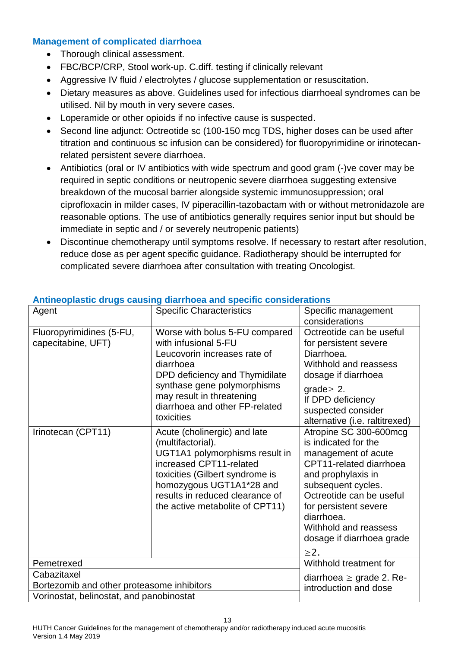#### <span id="page-13-0"></span>**Management of complicated diarrhoea**

- Thorough clinical assessment.
- FBC/BCP/CRP, Stool work-up. C.diff. testing if clinically relevant
- Aggressive IV fluid / electrolytes / glucose supplementation or resuscitation.
- Dietary measures as above. Guidelines used for infectious diarrhoeal syndromes can be utilised. Nil by mouth in very severe cases.
- Loperamide or other opioids if no infective cause is suspected.
- Second line adjunct: Octreotide sc (100-150 mcg TDS, higher doses can be used after titration and continuous sc infusion can be considered) for fluoropyrimidine or irinotecanrelated persistent severe diarrhoea.
- Antibiotics (oral or IV antibiotics with wide spectrum and good gram (-)ve cover may be required in septic conditions or neutropenic severe diarrhoea suggesting extensive breakdown of the mucosal barrier alongside systemic immunosuppression; oral ciprofloxacin in milder cases, IV piperacillin-tazobactam with or without metronidazole are reasonable options. The use of antibiotics generally requires senior input but should be immediate in septic and / or severely neutropenic patients)
- Discontinue chemotherapy until symptoms resolve. If necessary to restart after resolution, reduce dose as per agent specific guidance. Radiotherapy should be interrupted for complicated severe diarrhoea after consultation with treating Oncologist.

| Agent                                          | <b>Specific Characteristics</b>                                                                                                                                                                                                                     | Specific management                                                                                                                                                                                                                                                                |  |
|------------------------------------------------|-----------------------------------------------------------------------------------------------------------------------------------------------------------------------------------------------------------------------------------------------------|------------------------------------------------------------------------------------------------------------------------------------------------------------------------------------------------------------------------------------------------------------------------------------|--|
|                                                |                                                                                                                                                                                                                                                     | considerations                                                                                                                                                                                                                                                                     |  |
| Fluoropyrimidines (5-FU,<br>capecitabine, UFT) | Worse with bolus 5-FU compared<br>with infusional 5-FU<br>Leucovorin increases rate of<br>diarrhoea<br>DPD deficiency and Thymidilate<br>synthase gene polymorphisms<br>may result in threatening<br>diarrhoea and other FP-related<br>toxicities   | Octreotide can be useful<br>for persistent severe<br>Diarrhoea.<br>Withhold and reassess<br>dosage if diarrhoea<br>grade $\geq$ 2.<br>If DPD deficiency<br>suspected consider<br>alternative (i.e. raltitrexed)                                                                    |  |
| Irinotecan (CPT11)                             | Acute (cholinergic) and late<br>(multifactorial).<br>UGT1A1 polymorphisms result in<br>increased CPT11-related<br>toxicities (Gilbert syndrome is<br>homozygous UGT1A1*28 and<br>results in reduced clearance of<br>the active metabolite of CPT11) | Atropine SC 300-600mcg<br>is indicated for the<br>management of acute<br>CPT11-related diarrhoea<br>and prophylaxis in<br>subsequent cycles.<br>Octreotide can be useful<br>for persistent severe<br>diarrhoea.<br>Withhold and reassess<br>dosage if diarrhoea grade<br>$\geq$ 2. |  |
| Pemetrexed                                     | Withhold treatment for                                                                                                                                                                                                                              |                                                                                                                                                                                                                                                                                    |  |
| Cabazitaxel                                    | diarrhoea $\geq$ grade 2. Re-                                                                                                                                                                                                                       |                                                                                                                                                                                                                                                                                    |  |
| Bortezomib and other proteasome inhibitors     | introduction and dose                                                                                                                                                                                                                               |                                                                                                                                                                                                                                                                                    |  |
| Vorinostat, belinostat, and panobinostat       |                                                                                                                                                                                                                                                     |                                                                                                                                                                                                                                                                                    |  |

#### <span id="page-13-1"></span>**Antineoplastic drugs causing diarrhoea and specific considerations**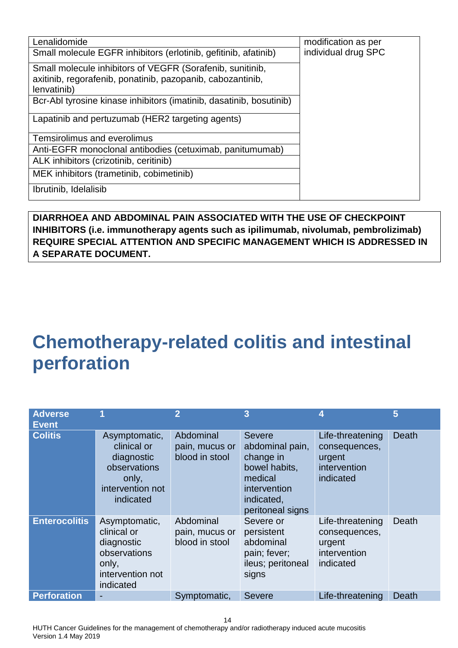| Lenalidomide                                                                                                            | modification as per |
|-------------------------------------------------------------------------------------------------------------------------|---------------------|
| Small molecule EGFR inhibitors (erlotinib, gefitinib, afatinib)                                                         | individual drug SPC |
| Small molecule inhibitors of VEGFR (Sorafenib, sunitinib,<br>axitinib, regorafenib, ponatinib, pazopanib, cabozantinib, |                     |
| lenvatinib)                                                                                                             |                     |
| Bcr-Abl tyrosine kinase inhibitors (imatinib, dasatinib, bosutinib)                                                     |                     |
| Lapatinib and pertuzumab (HER2 targeting agents)                                                                        |                     |
| Temsirolimus and everolimus                                                                                             |                     |
| Anti-EGFR monoclonal antibodies (cetuximab, panitumumab)                                                                |                     |
| ALK inhibitors (crizotinib, ceritinib)                                                                                  |                     |
| MEK inhibitors (trametinib, cobimetinib)                                                                                |                     |
| Ibrutinib, Idelalisib                                                                                                   |                     |

**DIARRHOEA AND ABDOMINAL PAIN ASSOCIATED WITH THE USE OF CHECKPOINT INHIBITORS (i.e. immunotherapy agents such as ipilimumab, nivolumab, pembrolizimab) REQUIRE SPECIAL ATTENTION AND SPECIFIC MANAGEMENT WHICH IS ADDRESSED IN A SEPARATE DOCUMENT.**

# <span id="page-14-0"></span>**Chemotherapy-related colitis and intestinal perforation**

| <b>Adverse</b><br><b>Event</b> |                                                                                                      | $\overline{2}$                                | 3                                                                                                                           | 4                                                                        | 5     |
|--------------------------------|------------------------------------------------------------------------------------------------------|-----------------------------------------------|-----------------------------------------------------------------------------------------------------------------------------|--------------------------------------------------------------------------|-------|
| <b>Colitis</b>                 | Asymptomatic,<br>clinical or<br>diagnostic<br>observations<br>only,<br>intervention not<br>indicated | Abdominal<br>pain, mucus or<br>blood in stool | <b>Severe</b><br>abdominal pain,<br>change in<br>bowel habits,<br>medical<br>intervention<br>indicated,<br>peritoneal signs | Life-threatening<br>consequences,<br>urgent<br>intervention<br>indicated | Death |
| <b>Enterocolitis</b>           | Asymptomatic,<br>clinical or<br>diagnostic<br>observations<br>only,<br>intervention not<br>indicated | Abdominal<br>pain, mucus or<br>blood in stool | Severe or<br>persistent<br>abdominal<br>pain; fever;<br>ileus; peritoneal<br>signs                                          | Life-threatening<br>consequences,<br>urgent<br>intervention<br>indicated | Death |
| <b>Perforation</b>             |                                                                                                      | Symptomatic,                                  | <b>Severe</b>                                                                                                               | Life-threatening                                                         | Death |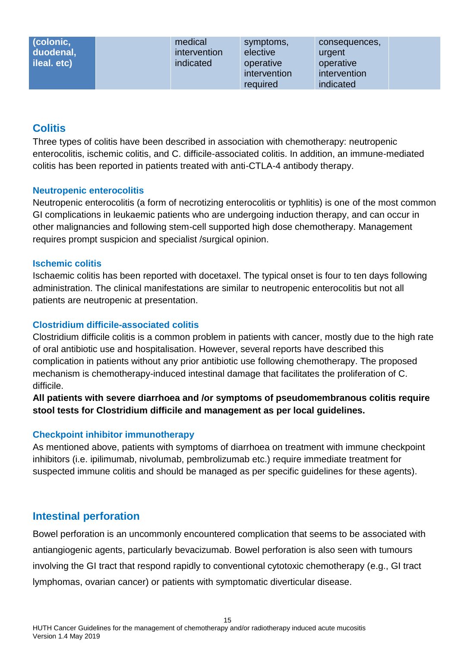| (colonic,<br>duodenal,<br>ileal. etc) | medical<br><i>intervention</i><br>indicated | symptoms,<br>elective<br>operative<br>intervention | consequences,<br>urgent<br>operative<br>intervention |  |
|---------------------------------------|---------------------------------------------|----------------------------------------------------|------------------------------------------------------|--|
|                                       |                                             | required                                           | indicated                                            |  |

### <span id="page-15-0"></span>**Colitis**

Three types of colitis have been described in association with chemotherapy: neutropenic enterocolitis, ischemic colitis, and C. difficile-associated colitis. In addition, an immune-mediated colitis has been reported in patients treated with anti-CTLA-4 antibody therapy.

#### <span id="page-15-1"></span>**Neutropenic enterocolitis**

Neutropenic enterocolitis (a form of necrotizing enterocolitis or typhlitis) is one of the most common GI complications in leukaemic patients who are undergoing induction therapy, and can occur in other malignancies and following stem-cell supported high dose chemotherapy. Management requires prompt suspicion and specialist /surgical opinion.

#### <span id="page-15-2"></span>**Ischemic colitis**

Ischaemic colitis has been reported with docetaxel. The typical onset is four to ten days following administration. The clinical manifestations are similar to neutropenic enterocolitis but not all patients are neutropenic at presentation.

#### <span id="page-15-3"></span>**Clostridium difficile-associated colitis**

Clostridium difficile colitis is a common problem in patients with cancer, mostly due to the high rate of oral antibiotic use and hospitalisation. However, several reports have described this complication in patients without any prior antibiotic use following chemotherapy. The proposed mechanism is chemotherapy-induced intestinal damage that facilitates the proliferation of C. difficile.

**All patients with severe diarrhoea and /or symptoms of pseudomembranous colitis require stool tests for Clostridium difficile and management as per local guidelines.**

#### <span id="page-15-4"></span>**Checkpoint inhibitor immunotherapy**

As mentioned above, patients with symptoms of diarrhoea on treatment with immune checkpoint inhibitors (i.e. ipilimumab, nivolumab, pembrolizumab etc.) require immediate treatment for suspected immune colitis and should be managed as per specific guidelines for these agents).

### <span id="page-15-5"></span>**Intestinal perforation**

Bowel perforation is an uncommonly encountered complication that seems to be associated with antiangiogenic agents, particularly bevacizumab. Bowel perforation is also seen with tumours involving the GI tract that respond rapidly to conventional cytotoxic chemotherapy (e.g., GI tract lymphomas, ovarian cancer) or patients with symptomatic diverticular disease.

15